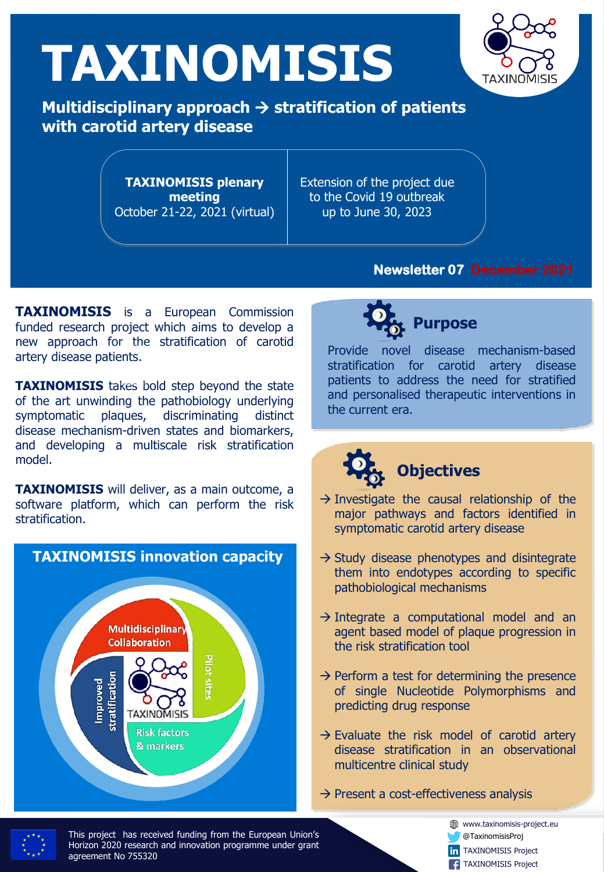# **TAXINOMISIS**



**Μultidisciplinary approach** → **stratification of patients with carotid artery disease**

> **TAXINOMISIS plenary meeting** October 21-22, 2021 (virtual)

Extension of the project due to the Covid 19 outbreak up to June 30, 2023

#### **Newsletter 07 December 2021**

**TAXINOMISIS** is a European Commission funded research project which aims to develop a new approach for the stratification of carotid artery disease patients.

**TAXINOMISIS** takes bold step beyond the state of the art unwinding the pathobiology underlying symptomatic plaques, discriminating distinct disease mechanism-driven states and biomarkers, and developing a multiscale risk stratification model.

**TAXINOMISIS** will deliver, as a main outcome, a software platform, which can perform the risk stratification.





Provide novel disease mechanism-based stratification for carotid artery disease patients to address the need for stratified and personalised therapeutic interventions in the current era.

# **Objectives**

- $\rightarrow$  Investigate the causal relationship of the major pathways and factors identified in symptomatic carotid artery disease
- $\rightarrow$  Study disease phenotypes and disintegrate them into endotypes according to specific pathobiological mechanisms
- $\rightarrow$  Integrate a computational model and an agent based model of plaque progression in the risk stratification tool
- $\rightarrow$  Perform a test for determining the presence of single Nucleotide Polymorphisms and predicting drug response
- $\rightarrow$  Evaluate the risk model of carotid artery disease stratification in an observational multicentre clinical study
- $\rightarrow$  Present a cost-effectiveness analysis



This project has received funding from the European Union's<br>Horizon 2020 research and innovation programme under grant This project has received funding from the European Union's agreement No 755320

www.taxinomisis-project.eu @TaxinomisisProj

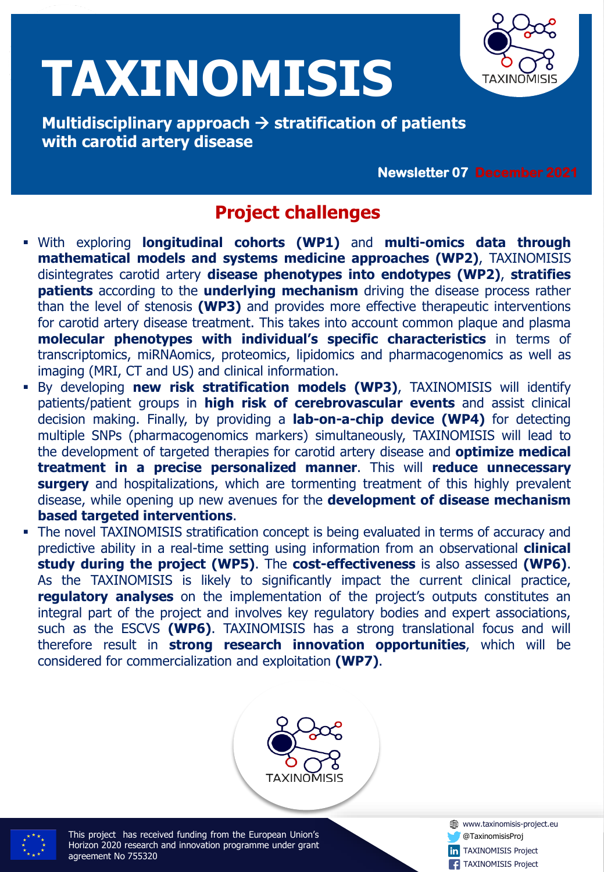

**with carotid artery disease Μultidisciplinary approach** → **stratification of patients with carotid artery disease**

**Newsletter February 2019 Newsletter 07 December 2021**

## **Project challenges**

- With exploring **longitudinal cohorts (WP1)** and **multi-omics data through mathematical models and systems medicine approaches (WP2)**, TAXINOMISIS disintegrates carotid artery **disease phenotypes into endotypes (WP2)**, **stratifies patients** according to the **underlying mechanism** driving the disease process rather than the level of stenosis **(WP3)** and provides more effective therapeutic interventions for carotid artery disease treatment. This takes into account common plaque and plasma **molecular phenotypes with individual's specific characteristics** in terms of transcriptomics, miRNAomics, proteomics, lipidomics and pharmacogenomics as well as imaging (MRI, CT and US) and clinical information.
- By developing **new risk stratification models (WP3)**, TAXINOMISIS will identify patients/patient groups in **high risk of cerebrovascular events** and assist clinical decision making. Finally, by providing a **lab-on-a-chip device (WP4)** for detecting multiple SNPs (pharmacogenomics markers) simultaneously, TAXINOMISIS will lead to the development of targeted therapies for carotid artery disease and **optimize medical treatment in a precise personalized manner**. This will **reduce unnecessary surgery** and hospitalizations, which are tormenting treatment of this highly prevalent disease, while opening up new avenues for the **development of disease mechanism based targeted interventions**.
- **The novel TAXINOMISIS stratification concept is being evaluated in terms of accuracy and** predictive ability in a real-time setting using information from an observational **clinical study during the project (WP5)**. The **cost-effectiveness** is also assessed **(WP6)**. As the TAXINOMISIS is likely to significantly impact the current clinical practice, **regulatory analyses** on the implementation of the project's outputs constitutes an integral part of the project and involves key regulatory bodies and expert associations, such as the ESCVS **(WP6)**. TAXINOMISIS has a strong translational focus and will therefore result in **strong research innovation opportunities**, which will be considered for commercialization and exploitation **(WP7)**.



This project has received funding from the European Union's<br>Horizon 2020 research and innovation programme under grant This project has received funding from the European Union's agreement No 755320

**W** www.taxinomisis-project.eu @TaxinomisisProj **in** TAXINOMISIS Project **TAXINOMISIS Project** 

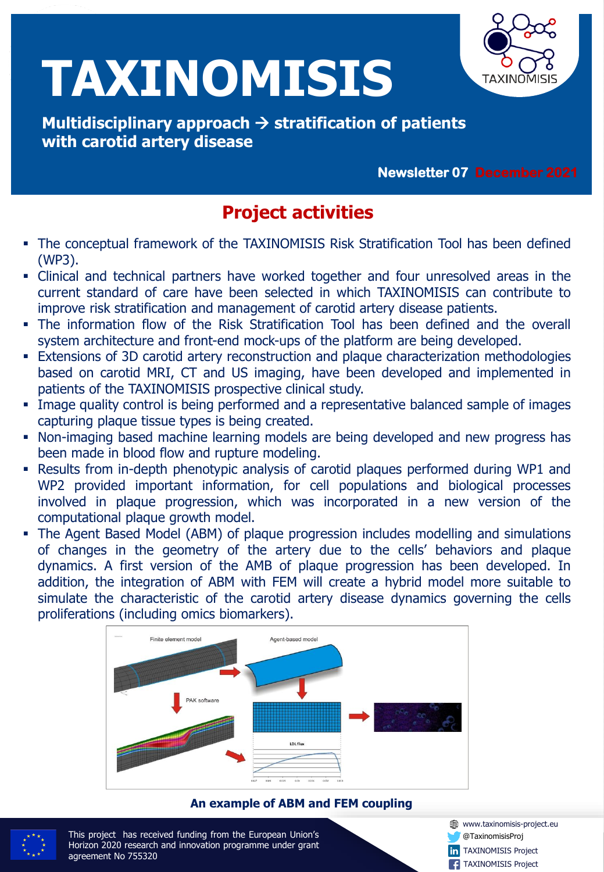

**with carotid artery disease Μultidisciplinary approach** → **stratification of patients with carotid artery disease**

**Newsletter February 2019 Newsletter 07 December 2021**

## **Project activities**

- **•** The conceptual framework of the TAXINOMISIS Risk Stratification Tool has been defined (WP3).
- Clinical and technical partners have worked together and four unresolved areas in the current standard of care have been selected in which TAXINOMISIS can contribute to improve risk stratification and management of carotid artery disease patients.
- The information flow of the Risk Stratification Tool has been defined and the overall system architecture and front-end mock-ups of the platform are being developed.
- **Extensions of 3D carotid artery reconstruction and plaque characterization methodologies** based on carotid MRI, CT and US imaging, have been developed and implemented in patients of the TAXINOMISIS prospective clinical study.
- **.** Image quality control is being performed and a representative balanced sample of images capturing plaque tissue types is being created.
- **Non-imaging based machine learning models are being developed and new progress has** been made in blood flow and rupture modeling.
- Results from in-depth phenotypic analysis of carotid plaques performed during WP1 and WP2 provided important information, for cell populations and biological processes involved in plaque progression, which was incorporated in a new version of the computational plaque growth model.
- The Agent Based Model (ABM) of plaque progression includes modelling and simulations of changes in the geometry of the artery due to the cells' behaviors and plaque dynamics. A first version of the AMB of plaque progression has been developed. In addition, the integration of ABM with FEM will create a hybrid model more suitable to simulate the characteristic of the carotid artery disease dynamics governing the cells proliferations (including omics biomarkers).



#### **An example of ABM and FEM coupling**



This project has received funding from the European Union's<br>Horizon 2020 research and innovation programme under grant This project has received funding from the European Union's agreement No 755320

**W** www.taxinomisis-project.eu @TaxinomisisProj **in** TAXINOMISIS Project TAXINOMISIS Project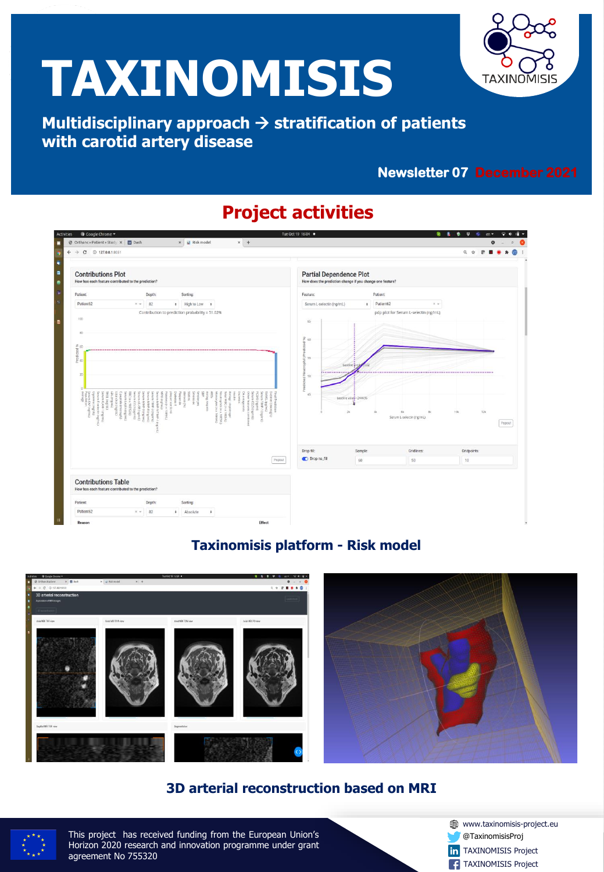

**with carotid artery disease Μultidisciplinary approach** → **stratification of patients with carotid artery disease**

### **Newsletter February 2019 Newsletter 07 December 2021**

## **Project activities**



#### **Taxinomisis platform - Risk model**



#### **3D arterial reconstruction based on MRI**



This project has received funding from the European Union's<br>Horizon 2020 research and innovation programme under grant This project has received funding from the European Union's agreement No 755320

www.taxinomisis-project.eu @TaxinomisisProj **in** TAXINOMISIS Project **TAXINOMISIS Project**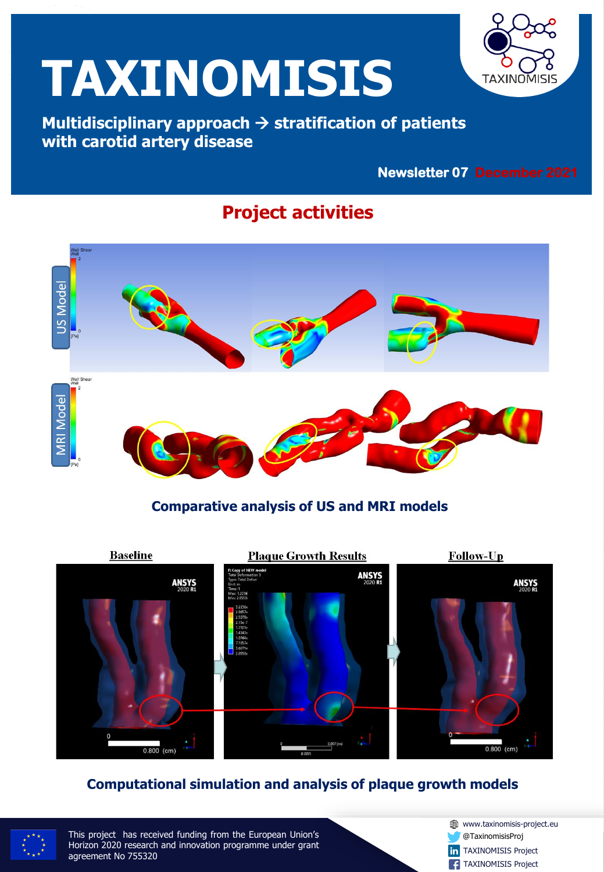

**with carotid artery disease Μultidisciplinary approach** → **stratification of patients with carotid artery disease**

### **Newsletter February 2019 Newsletter 07 December 2021**

### **Project activities**



#### **Comparative analysis of US and MRI models**



#### **Computational simulation and analysis of plaque growth models**



This project has received funding from the European Union's<br>Horizon 2020 research and innovation programme under grant This project has received funding from the European Union's agreement No 755320

www.taxinomisis-project.eu @TaxinomisisProj **in** TAXINOMISIS Project **TAXINOMISIS Project**